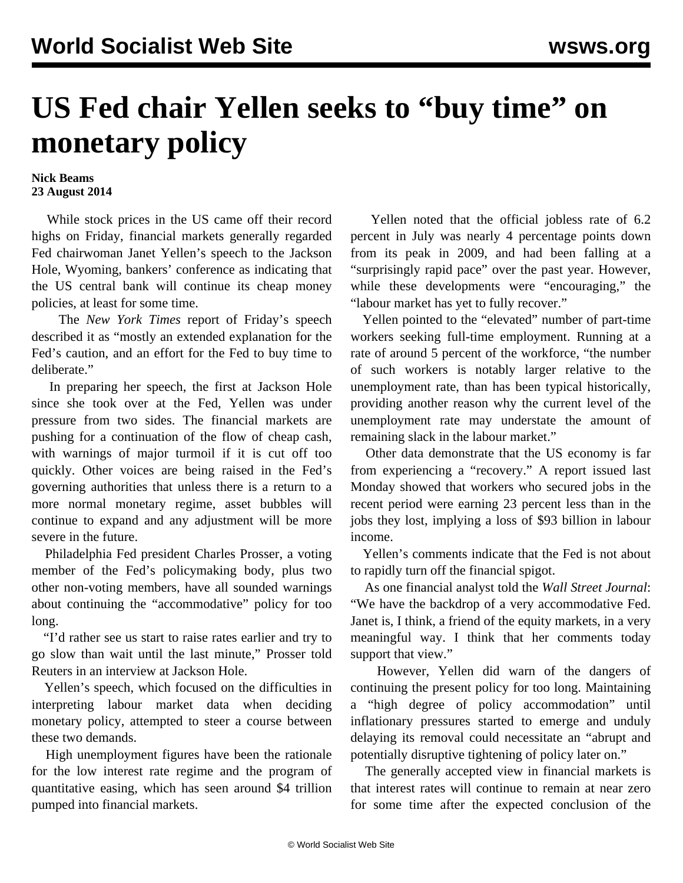## **US Fed chair Yellen seeks to "buy time" on monetary policy**

## **Nick Beams 23 August 2014**

 While stock prices in the US came off their record highs on Friday, financial markets generally regarded Fed chairwoman Janet Yellen's speech to the Jackson Hole, Wyoming, bankers' conference as indicating that the US central bank will continue its cheap money policies, at least for some time.

 The *New York Times* report of Friday's speech described it as "mostly an extended explanation for the Fed's caution, and an effort for the Fed to buy time to deliberate."

 In preparing her speech, the first at Jackson Hole since she took over at the Fed, Yellen was under pressure from two sides. The financial markets are pushing for a continuation of the flow of cheap cash, with warnings of major turmoil if it is cut off too quickly. Other voices are being raised in the Fed's governing authorities that unless there is a return to a more normal monetary regime, asset bubbles will continue to expand and any adjustment will be more severe in the future.

 Philadelphia Fed president Charles Prosser, a voting member of the Fed's policymaking body, plus two other non-voting members, have all sounded warnings about continuing the "accommodative" policy for too long.

 "I'd rather see us start to raise rates earlier and try to go slow than wait until the last minute," Prosser told Reuters in an interview at Jackson Hole.

 Yellen's speech, which focused on the difficulties in interpreting labour market data when deciding monetary policy, attempted to steer a course between these two demands.

 High unemployment figures have been the rationale for the low interest rate regime and the program of quantitative easing, which has seen around \$4 trillion pumped into financial markets.

 Yellen noted that the official jobless rate of 6.2 percent in July was nearly 4 percentage points down from its peak in 2009, and had been falling at a "surprisingly rapid pace" over the past year. However, while these developments were "encouraging," the "labour market has yet to fully recover."

 Yellen pointed to the "elevated" number of part-time workers seeking full-time employment. Running at a rate of around 5 percent of the workforce, "the number of such workers is notably larger relative to the unemployment rate, than has been typical historically, providing another reason why the current level of the unemployment rate may understate the amount of remaining slack in the labour market."

 Other data demonstrate that the US economy is far from experiencing a "recovery." A report issued last Monday showed that workers who secured jobs in the recent period were earning 23 percent less than in the jobs they lost, implying a loss of \$93 billion in labour income.

 Yellen's comments indicate that the Fed is not about to rapidly turn off the financial spigot.

 As one financial analyst told the *Wall Street Journal*: "We have the backdrop of a very accommodative Fed. Janet is, I think, a friend of the equity markets, in a very meaningful way. I think that her comments today support that view."

 However, Yellen did warn of the dangers of continuing the present policy for too long. Maintaining a "high degree of policy accommodation" until inflationary pressures started to emerge and unduly delaying its removal could necessitate an "abrupt and potentially disruptive tightening of policy later on."

 The generally accepted view in financial markets is that interest rates will continue to remain at near zero for some time after the expected conclusion of the